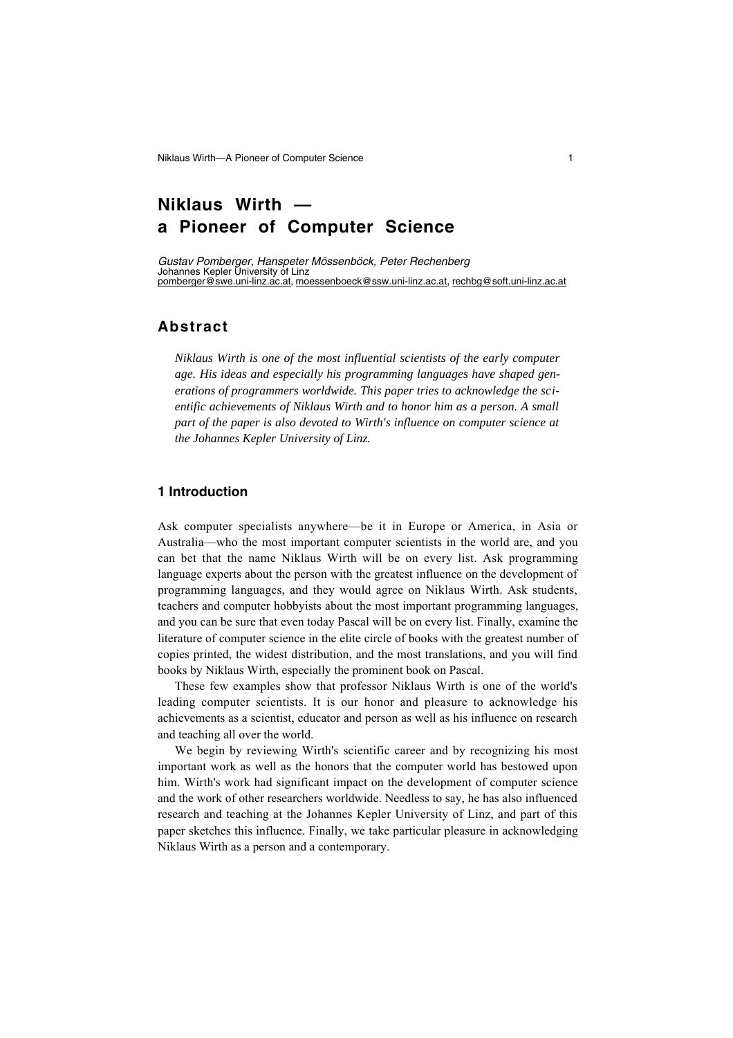# **Niklaus Wirth a Pioneer of Computer Science**

*Gustav Pomberger, Hanspeter Mössenböck, Peter Rechenberg* Johannes Kepler University of Linz pomberger@swe.uni-linz.ac.at , moessenboeck@ssw.uni-linz.ac.at , rechbg@soft.uni-linz.ac.at

# **Abstract**

*Niklaus Wirth is one of the most influential scientists of the early computer age. His ideas and especially his programming languages have shaped generations of programmers worldwide. This paper tries to acknowledge the scientific achievements of Niklaus Wirth and to honor him as a person. A small part of the paper is also devoted to Wirth's influence on computer science at the Johannes Kepler University of Linz.*

# **1 Introduction**

Ask computer specialists anywhere—be it in Europe or America, in Asia or Australia—who the most important computer scientists in the world are, and you can bet that the name Niklaus Wirth will be on every list. Ask programming language experts about the person with the greatest influence on the development of programming languages, and they would agree on Niklaus Wirth. Ask students, teachers and computer hobbyists about the most important programming languages, and you can be sure that even today Pascal will be on every list. Finally, examine the literature of computer science in the elite circle of books with the greatest number of copies printed, the widest distribution, and the most translations, and you will find books by Niklaus Wirth, especially the prominent book on Pascal.

These few examples show that professor Niklaus Wirth is one of the world's leading computer scientists. It is our honor and pleasure to acknowledge his achievements as a scientist, educator and person as well as his influence on research and teaching all over the world.

We begin by reviewing Wirth's scientific career and by recognizing his most important work as well as the honors that the computer world has bestowed upon him. Wirth's work had significant impact on the development of computer science and the work of other researchers worldwide. Needless to say, he has also influenced research and teaching at the Johannes Kepler University of Linz, and part of this paper sketches this influence. Finally, we take particular pleasure in acknowledging Niklaus Wirth as a person and a contemporary.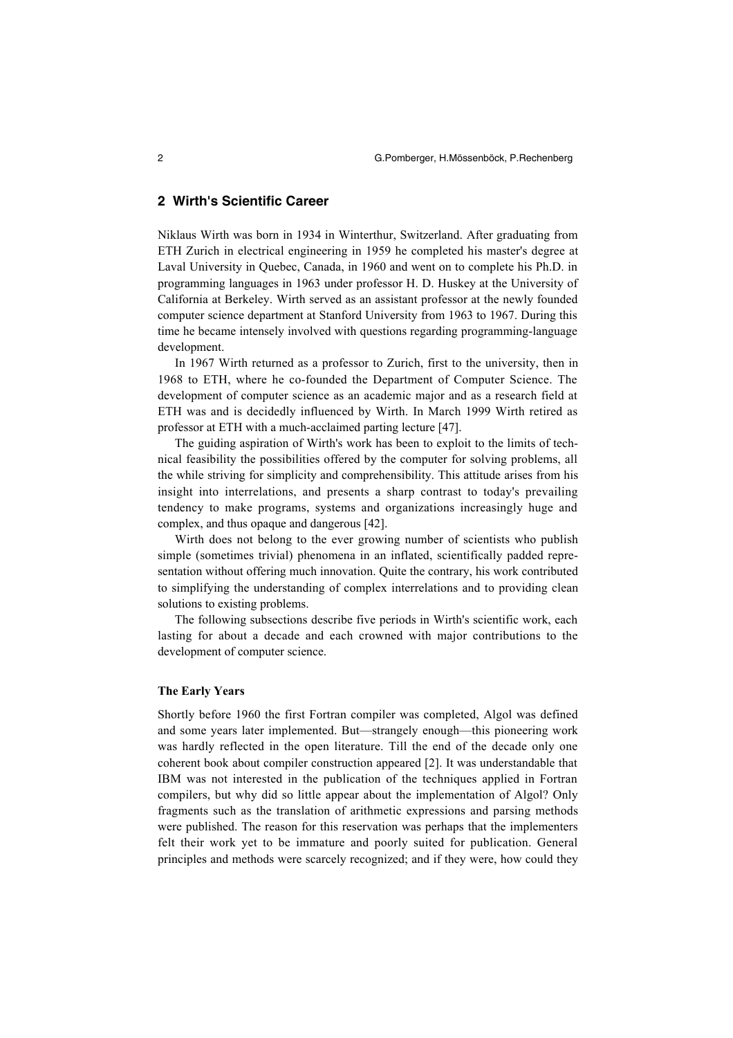# **2 Wirth's Scientific Career**

Niklaus Wirth was born in 1934 in Winterthur, Switzerland. After graduating from ETH Zurich in electrical engineering in 1959 he completed his master's degree at Laval University in Quebec, Canada, in 1960 and went on to complete his Ph.D. in programming languages in 1963 under professor H. D. Huskey at the University of California at Berkeley. Wirth served as an assistant professor at the newly founded computer science department at Stanford University from 1963 to 1967. During this time he became intensely involved with questions regarding programming-language development.

In 1967 Wirth returned as a professor to Zurich, first to the university, then in 1968 to ETH, where he co-founded the Department of Computer Science. The development of computer science as an academic major and as a research field at ETH was and is decidedly influenced by Wirth. In March 1999 Wirth retired as professor at ETH with a much-acclaimed parting lecture [47].

The guiding aspiration of Wirth's work has been to exploit to the limits of technical feasibility the possibilities offered by the computer for solving problems, all the while striving for simplicity and comprehensibility. This attitude arises from his insight into interrelations, and presents a sharp contrast to today's prevailing tendency to make programs, systems and organizations increasingly huge and complex, and thus opaque and dangerous [42].

Wirth does not belong to the ever growing number of scientists who publish simple (sometimes trivial) phenomena in an inflated, scientifically padded representation without offering much innovation. Quite the contrary, his work contributed to simplifying the understanding of complex interrelations and to providing clean solutions to existing problems.

The following subsections describe five periods in Wirth's scientific work, each lasting for about a decade and each crowned with major contributions to the development of computer science.

#### **The Early Years**

Shortly before 1960 the first Fortran compiler was completed, Algol was defined and some years later implemented. But—strangely enough—this pioneering work was hardly reflected in the open literature. Till the end of the decade only one coherent book about compiler construction appeared [2]. It was understandable that IBM was not interested in the publication of the techniques applied in Fortran compilers, but why did so little appear about the implementation of Algol? Only fragments such as the translation of arithmetic expressions and parsing methods were published. The reason for this reservation was perhaps that the implementers felt their work yet to be immature and poorly suited for publication. General principles and methods were scarcely recognized; and if they were, how could they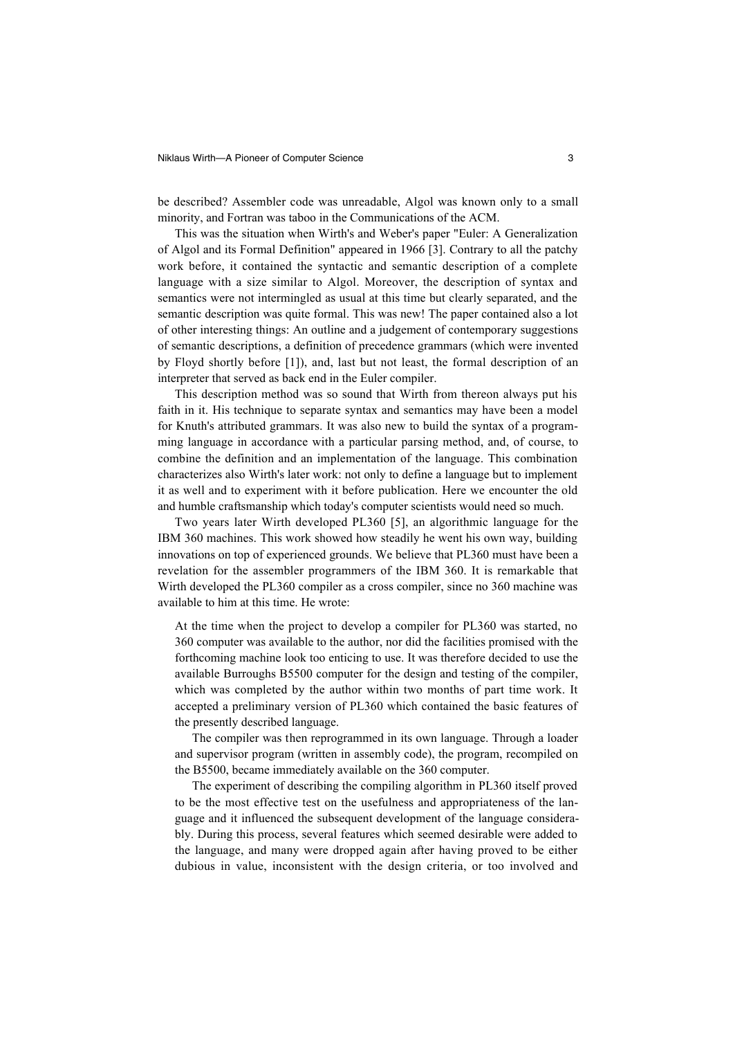be described? Assembler code was unreadable, Algol was known only to a small minority, and Fortran was taboo in the Communications of the ACM.

This was the situation when Wirth's and Weber's paper "Euler: A Generalization of Algol and its Formal Definition" appeared in 1966 [3]. Contrary to all the patchy work before, it contained the syntactic and semantic description of a complete language with a size similar to Algol. Moreover, the description of syntax and semantics were not intermingled as usual at this time but clearly separated, and the semantic description was quite formal. This was new! The paper contained also a lot of other interesting things: An outline and a judgement of contemporary suggestions of semantic descriptions, a definition of precedence grammars (which were invented by Floyd shortly before [1]), and, last but not least, the formal description of an interpreter that served as back end in the Euler compiler.

This description method was so sound that Wirth from thereon always put his faith in it. His technique to separate syntax and semantics may have been a model for Knuth's attributed grammars. It was also new to build the syntax of a programming language in accordance with a particular parsing method, and, of course, to combine the definition and an implementation of the language. This combination characterizes also Wirth's later work: not only to define a language but to implement it as well and to experiment with it before publication. Here we encounter the old and humble craftsmanship which today's computer scientists would need so much.

Two years later Wirth developed PL360 [5], an algorithmic language for the IBM 360 machines. This work showed how steadily he went his own way, building innovations on top of experienced grounds. We believe that PL360 must have been a revelation for the assembler programmers of the IBM 360. It is remarkable that Wirth developed the PL360 compiler as a cross compiler, since no 360 machine was available to him at this time. He wrote:

At the time when the project to develop a compiler for PL360 was started, no 360 computer was available to the author, nor did the facilities promised with the forthcoming machine look too enticing to use. It was therefore decided to use the available Burroughs B5500 computer for the design and testing of the compiler, which was completed by the author within two months of part time work. It accepted a preliminary version of PL360 which contained the basic features of the presently described language.

The compiler was then reprogrammed in its own language. Through a loader and supervisor program (written in assembly code), the program, recompiled on the B5500, became immediately available on the 360 computer.

The experiment of describing the compiling algorithm in PL360 itself proved to be the most effective test on the usefulness and appropriateness of the language and it influenced the subsequent development of the language considerably. During this process, several features which seemed desirable were added to the language, and many were dropped again after having proved to be either dubious in value, inconsistent with the design criteria, or too involved and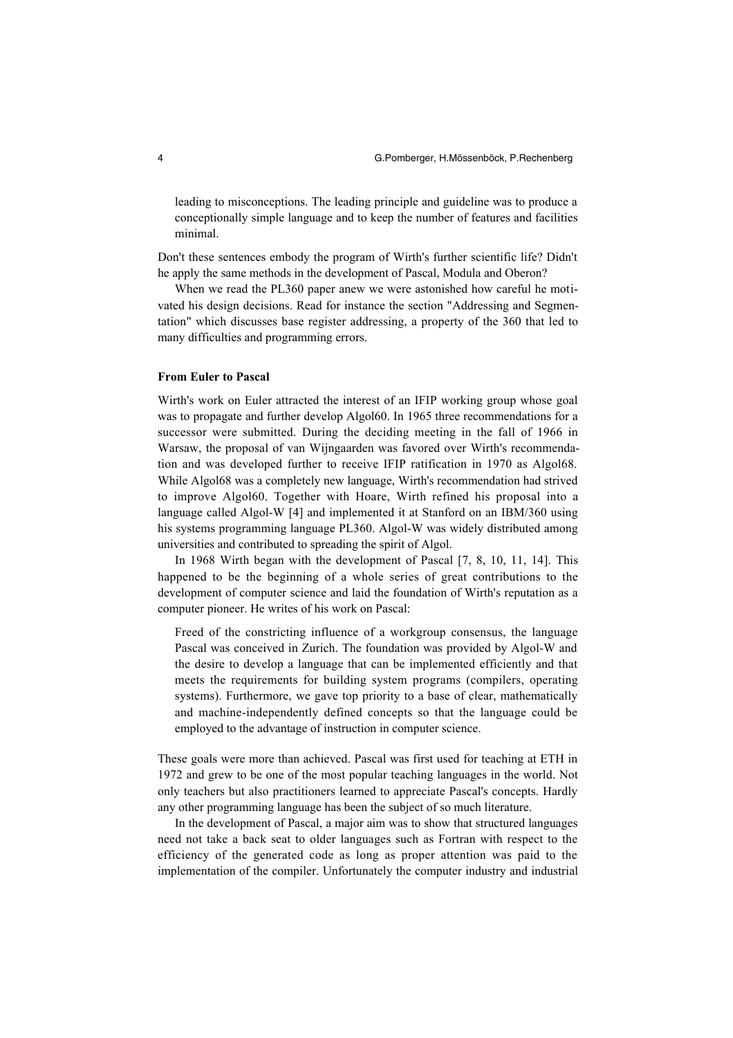leading to misconceptions. The leading principle and guideline was to produce a conceptionally simple language and to keep the number of features and facilities minimal.

Don't these sentences embody the program of Wirth's further scientific life? Didn't he apply the same methods in the development of Pascal, Modula and Oberon?

When we read the PL360 paper anew we were astonished how careful he motivated his design decisions. Read for instance the section "Addressing and Segmentation" which discusses base register addressing, a property of the 360 that led to many difficulties and programming errors.

#### **From Euler to Pascal**

Wirth's work on Euler attracted the interest of an IFIP working group whose goal was to propagate and further develop Algol60. In 1965 three recommendations for a successor were submitted. During the deciding meeting in the fall of 1966 in Warsaw, the proposal of van Wijngaarden was favored over Wirth's recommendation and was developed further to receive IFIP ratification in 1970 as Algol68. While Algol68 was a completely new language, Wirth's recommendation had strived to improve Algol60. Together with Hoare, Wirth refined his proposal into a language called Algol-W [4] and implemented it at Stanford on an IBM/360 using his systems programming language PL360. Algol-W was widely distributed among universities and contributed to spreading the spirit of Algol.

In 1968 Wirth began with the development of Pascal [7, 8, 10, 11, 14]. This happened to be the beginning of a whole series of great contributions to the development of computer science and laid the foundation of Wirth's reputation as a computer pioneer. He writes of his work on Pascal:

Freed of the constricting influence of a workgroup consensus, the language Pascal was conceived in Zurich. The foundation was provided by Algol-W and the desire to develop a language that can be implemented efficiently and that meets the requirements for building system programs (compilers, operating systems). Furthermore, we gave top priority to a base of clear, mathematically and machine-independently defined concepts so that the language could be employed to the advantage of instruction in computer science.

These goals were more than achieved. Pascal was first used for teaching at ETH in 1972 and grew to be one of the most popular teaching languages in the world. Not only teachers but also practitioners learned to appreciate Pascal's concepts. Hardly any other programming language has been the subject of so much literature.

In the development of Pascal, a major aim was to show that structured languages need not take a back seat to older languages such as Fortran with respect to the efficiency of the generated code as long as proper attention was paid to the implementation of the compiler. Unfortunately the computer industry and industrial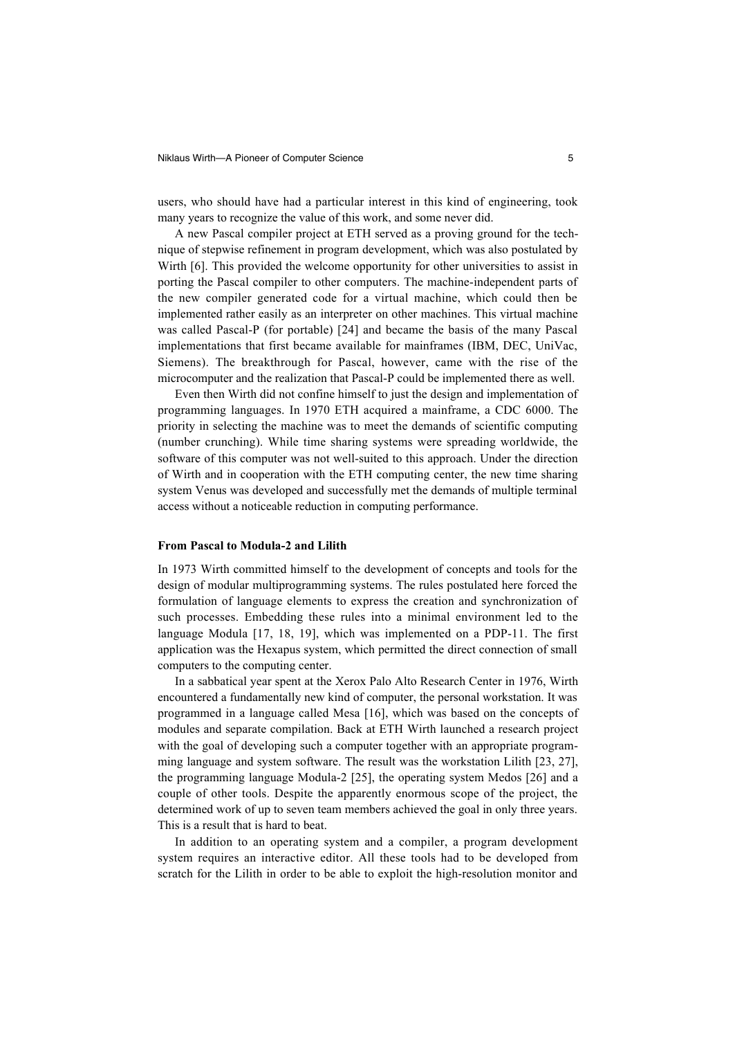users, who should have had a particular interest in this kind of engineering, took many years to recognize the value of this work, and some never did.

A new Pascal compiler project at ETH served as a proving ground for the technique of stepwise refinement in program development, which was also postulated by Wirth [6]. This provided the welcome opportunity for other universities to assist in porting the Pascal compiler to other computers. The machine-independent parts of the new compiler generated code for a virtual machine, which could then be implemented rather easily as an interpreter on other machines. This virtual machine was called Pascal-P (for portable) [24] and became the basis of the many Pascal implementations that first became available for mainframes (IBM, DEC, UniVac, Siemens). The breakthrough for Pascal, however, came with the rise of the microcomputer and the realization that Pascal-P could be implemented there as well.

Even then Wirth did not confine himself to just the design and implementation of programming languages. In 1970 ETH acquired a mainframe, a CDC 6000. The priority in selecting the machine was to meet the demands of scientific computing (number crunching). While time sharing systems were spreading worldwide, the software of this computer was not well-suited to this approach. Under the direction of Wirth and in cooperation with the ETH computing center, the new time sharing system Venus was developed and successfully met the demands of multiple terminal access without a noticeable reduction in computing performance.

#### **From Pascal to Modula-2 and Lilith**

In 1973 Wirth committed himself to the development of concepts and tools for the design of modular multiprogramming systems. The rules postulated here forced the formulation of language elements to express the creation and synchronization of such processes. Embedding these rules into a minimal environment led to the language Modula [17, 18, 19], which was implemented on a PDP-11. The first application was the Hexapus system, which permitted the direct connection of small computers to the computing center.

In a sabbatical year spent at the Xerox Palo Alto Research Center in 1976, Wirth encountered a fundamentally new kind of computer, the personal workstation. It was programmed in a language called Mesa [16], which was based on the concepts of modules and separate compilation. Back at ETH Wirth launched a research project with the goal of developing such a computer together with an appropriate programming language and system software. The result was the workstation Lilith [23, 27], the programming language Modula-2 [25], the operating system Medos [26] and a couple of other tools. Despite the apparently enormous scope of the project, the determined work of up to seven team members achieved the goal in only three years. This is a result that is hard to beat.

In addition to an operating system and a compiler, a program development system requires an interactive editor. All these tools had to be developed from scratch for the Lilith in order to be able to exploit the high-resolution monitor and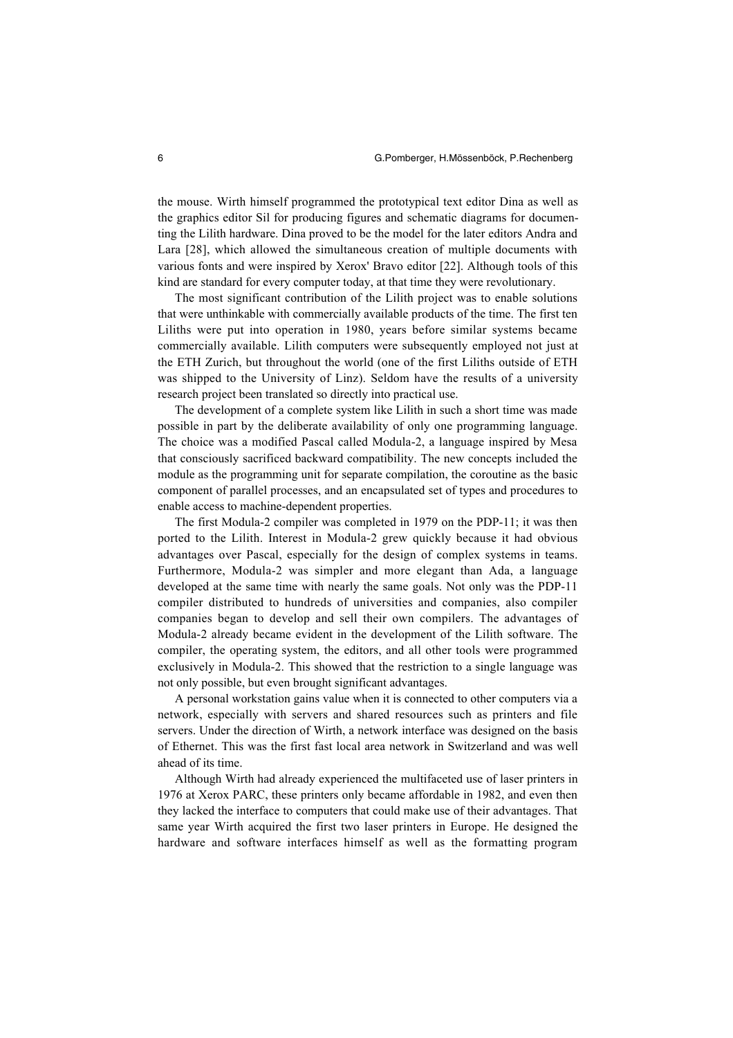the mouse. Wirth himself programmed the prototypical text editor Dina as well as the graphics editor Sil for producing figures and schematic diagrams for documenting the Lilith hardware. Dina proved to be the model for the later editors Andra and Lara [28], which allowed the simultaneous creation of multiple documents with various fonts and were inspired by Xerox' Bravo editor [22]. Although tools of this kind are standard for every computer today, at that time they were revolutionary.

The most significant contribution of the Lilith project was to enable solutions that were unthinkable with commercially available products of the time. The first ten Liliths were put into operation in 1980, years before similar systems became commercially available. Lilith computers were subsequently employed not just at the ETH Zurich, but throughout the world (one of the first Liliths outside of ETH was shipped to the University of Linz). Seldom have the results of a university research project been translated so directly into practical use.

The development of a complete system like Lilith in such a short time was made possible in part by the deliberate availability of only one programming language. The choice was a modified Pascal called Modula-2, a language inspired by Mesa that consciously sacrificed backward compatibility. The new concepts included the module as the programming unit for separate compilation, the coroutine as the basic component of parallel processes, and an encapsulated set of types and procedures to enable access to machine-dependent properties.

The first Modula-2 compiler was completed in 1979 on the PDP-11; it was then ported to the Lilith. Interest in Modula-2 grew quickly because it had obvious advantages over Pascal, especially for the design of complex systems in teams. Furthermore, Modula-2 was simpler and more elegant than Ada, a language developed at the same time with nearly the same goals. Not only was the PDP-11 compiler distributed to hundreds of universities and companies, also compiler companies began to develop and sell their own compilers. The advantages of Modula-2 already became evident in the development of the Lilith software. The compiler, the operating system, the editors, and all other tools were programmed exclusively in Modula-2. This showed that the restriction to a single language was not only possible, but even brought significant advantages.

A personal workstation gains value when it is connected to other computers via a network, especially with servers and shared resources such as printers and file servers. Under the direction of Wirth, a network interface was designed on the basis of Ethernet. This was the first fast local area network in Switzerland and was well ahead of its time.

Although Wirth had already experienced the multifaceted use of laser printers in 1976 at Xerox PARC, these printers only became affordable in 1982, and even then they lacked the interface to computers that could make use of their advantages. That same year Wirth acquired the first two laser printers in Europe. He designed the hardware and software interfaces himself as well as the formatting program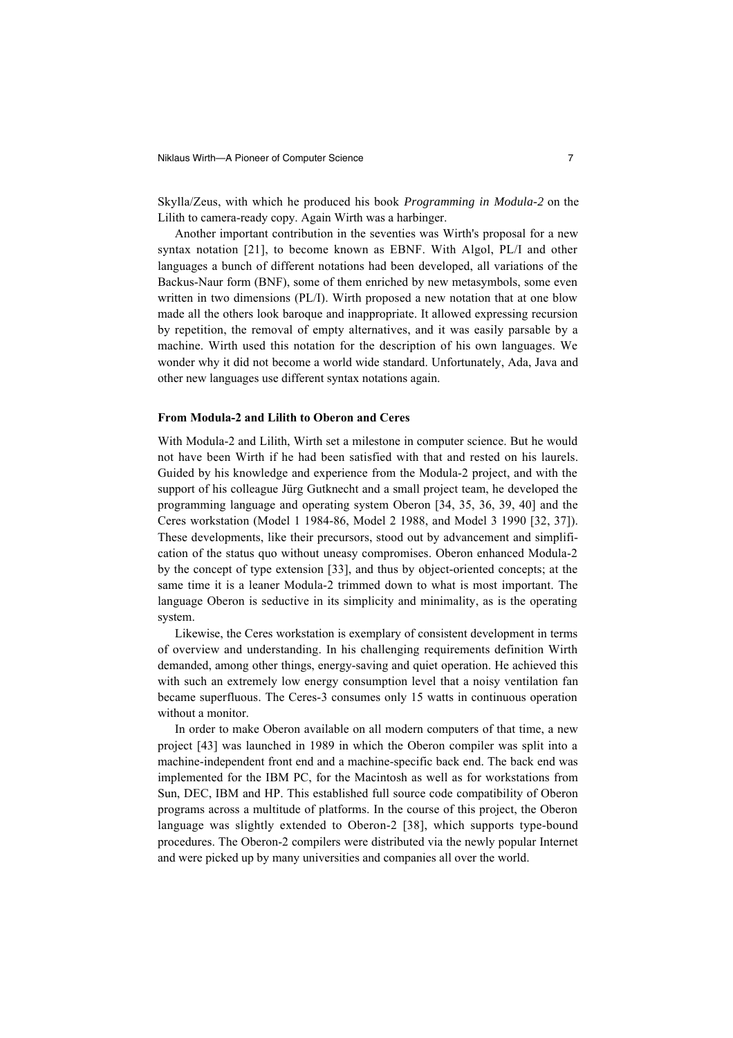Skylla/Zeus, with which he produced his book *Programming in Modula-2* on the Lilith to camera-ready copy. Again Wirth was a harbinger.

Another important contribution in the seventies was Wirth's proposal for a new syntax notation [21], to become known as EBNF. With Algol, PL/I and other languages a bunch of different notations had been developed, all variations of the Backus-Naur form (BNF), some of them enriched by new metasymbols, some even written in two dimensions (PL/I). Wirth proposed a new notation that at one blow made all the others look baroque and inappropriate. It allowed expressing recursion by repetition, the removal of empty alternatives, and it was easily parsable by a machine. Wirth used this notation for the description of his own languages. We wonder why it did not become a world wide standard. Unfortunately, Ada, Java and other new languages use different syntax notations again.

#### **From Modula-2 and Lilith to Oberon and Ceres**

With Modula-2 and Lilith, Wirth set a milestone in computer science. But he would not have been Wirth if he had been satisfied with that and rested on his laurels. Guided by his knowledge and experience from the Modula-2 project, and with the support of his colleague Jürg Gutknecht and a small project team, he developed the programming language and operating system Oberon [34, 35, 36, 39, 40] and the Ceres workstation (Model 1 1984-86, Model 2 1988, and Model 3 1990 [32, 37]). These developments, like their precursors, stood out by advancement and simplification of the status quo without uneasy compromises. Oberon enhanced Modula-2 by the concept of type extension [33], and thus by object-oriented concepts; at the same time it is a leaner Modula-2 trimmed down to what is most important. The language Oberon is seductive in its simplicity and minimality, as is the operating system.

Likewise, the Ceres workstation is exemplary of consistent development in terms of overview and understanding. In his challenging requirements definition Wirth demanded, among other things, energy-saving and quiet operation. He achieved this with such an extremely low energy consumption level that a noisy ventilation fan became superfluous. The Ceres-3 consumes only 15 watts in continuous operation without a monitor.

In order to make Oberon available on all modern computers of that time, a new project [43] was launched in 1989 in which the Oberon compiler was split into a machine-independent front end and a machine-specific back end. The back end was implemented for the IBM PC, for the Macintosh as well as for workstations from Sun, DEC, IBM and HP. This established full source code compatibility of Oberon programs across a multitude of platforms. In the course of this project, the Oberon language was slightly extended to Oberon-2 [38], which supports type-bound procedures. The Oberon-2 compilers were distributed via the newly popular Internet and were picked up by many universities and companies all over the world.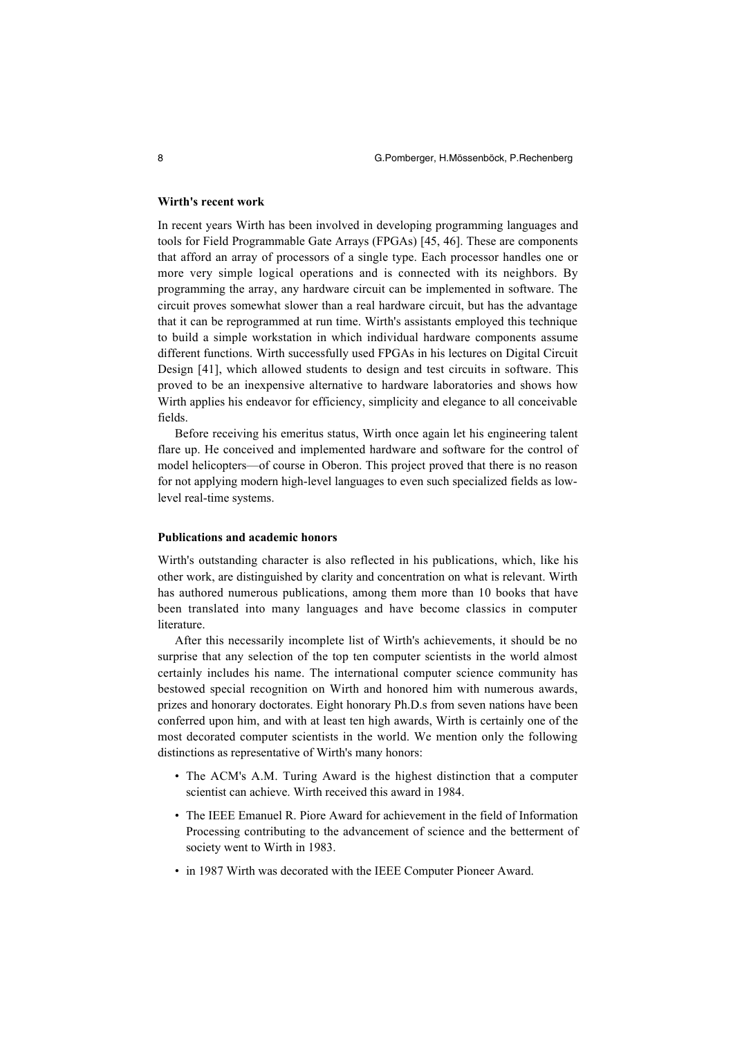#### **Wirth's recent work**

In recent years Wirth has been involved in developing programming languages and tools for Field Programmable Gate Arrays (FPGAs) [45, 46]. These are components that afford an array of processors of a single type. Each processor handles one or more very simple logical operations and is connected with its neighbors. By programming the array, any hardware circuit can be implemented in software. The circuit proves somewhat slower than a real hardware circuit, but has the advantage that it can be reprogrammed at run time. Wirth's assistants employed this technique to build a simple workstation in which individual hardware components assume different functions. Wirth successfully used FPGAs in his lectures on Digital Circuit Design [41], which allowed students to design and test circuits in software. This proved to be an inexpensive alternative to hardware laboratories and shows how Wirth applies his endeavor for efficiency, simplicity and elegance to all conceivable fields.

Before receiving his emeritus status, Wirth once again let his engineering talent flare up. He conceived and implemented hardware and software for the control of model helicopters—of course in Oberon. This project proved that there is no reason for not applying modern high-level languages to even such specialized fields as lowlevel real-time systems.

### **Publications and academic honors**

Wirth's outstanding character is also reflected in his publications, which, like his other work, are distinguished by clarity and concentration on what is relevant. Wirth has authored numerous publications, among them more than 10 books that have been translated into many languages and have become classics in computer literature.

After this necessarily incomplete list of Wirth's achievements, it should be no surprise that any selection of the top ten computer scientists in the world almost certainly includes his name. The international computer science community has bestowed special recognition on Wirth and honored him with numerous awards, prizes and honorary doctorates. Eight honorary Ph.D.s from seven nations have been conferred upon him, and with at least ten high awards, Wirth is certainly one of the most decorated computer scientists in the world. We mention only the following distinctions as representative of Wirth's many honors:

- The ACM's A.M. Turing Award is the highest distinction that a computer scientist can achieve. Wirth received this award in 1984.
- The IEEE Emanuel R. Piore Award for achievement in the field of Information Processing contributing to the advancement of science and the betterment of society went to Wirth in 1983.
- in 1987 Wirth was decorated with the IEEE Computer Pioneer Award.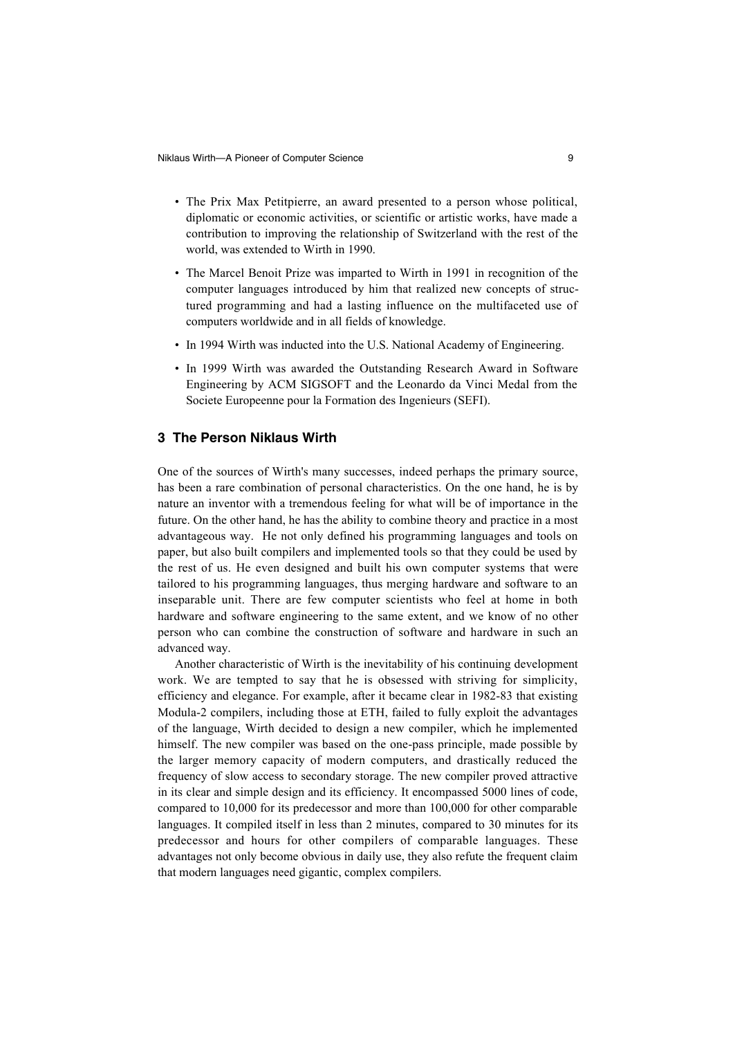- The Prix Max Petitpierre, an award presented to a person whose political, diplomatic or economic activities, or scientific or artistic works, have made a contribution to improving the relationship of Switzerland with the rest of the world, was extended to Wirth in 1990.
- The Marcel Benoit Prize was imparted to Wirth in 1991 in recognition of the computer languages introduced by him that realized new concepts of structured programming and had a lasting influence on the multifaceted use of computers worldwide and in all fields of knowledge.
- In 1994 Wirth was inducted into the U.S. National Academy of Engineering.
- In 1999 Wirth was awarded the Outstanding Research Award in Software Engineering by ACM SIGSOFT and the Leonardo da Vinci Medal from the Societe Europeenne pour la Formation des Ingenieurs (SEFI).

# **3 The Person Niklaus Wirth**

One of the sources of Wirth's many successes, indeed perhaps the primary source, has been a rare combination of personal characteristics. On the one hand, he is by nature an inventor with a tremendous feeling for what will be of importance in the future. On the other hand, he has the ability to combine theory and practice in a most advantageous way. He not only defined his programming languages and tools on paper, but also built compilers and implemented tools so that they could be used by the rest of us. He even designed and built his own computer systems that were tailored to his programming languages, thus merging hardware and software to an inseparable unit. There are few computer scientists who feel at home in both hardware and software engineering to the same extent, and we know of no other person who can combine the construction of software and hardware in such an advanced way.

Another characteristic of Wirth is the inevitability of his continuing development work. We are tempted to say that he is obsessed with striving for simplicity, efficiency and elegance. For example, after it became clear in 1982-83 that existing Modula-2 compilers, including those at ETH, failed to fully exploit the advantages of the language, Wirth decided to design a new compiler, which he implemented himself. The new compiler was based on the one-pass principle, made possible by the larger memory capacity of modern computers, and drastically reduced the frequency of slow access to secondary storage. The new compiler proved attractive in its clear and simple design and its efficiency. It encompassed 5000 lines of code, compared to 10,000 for its predecessor and more than 100,000 for other comparable languages. It compiled itself in less than 2 minutes, compared to 30 minutes for its predecessor and hours for other compilers of comparable languages. These advantages not only become obvious in daily use, they also refute the frequent claim that modern languages need gigantic, complex compilers.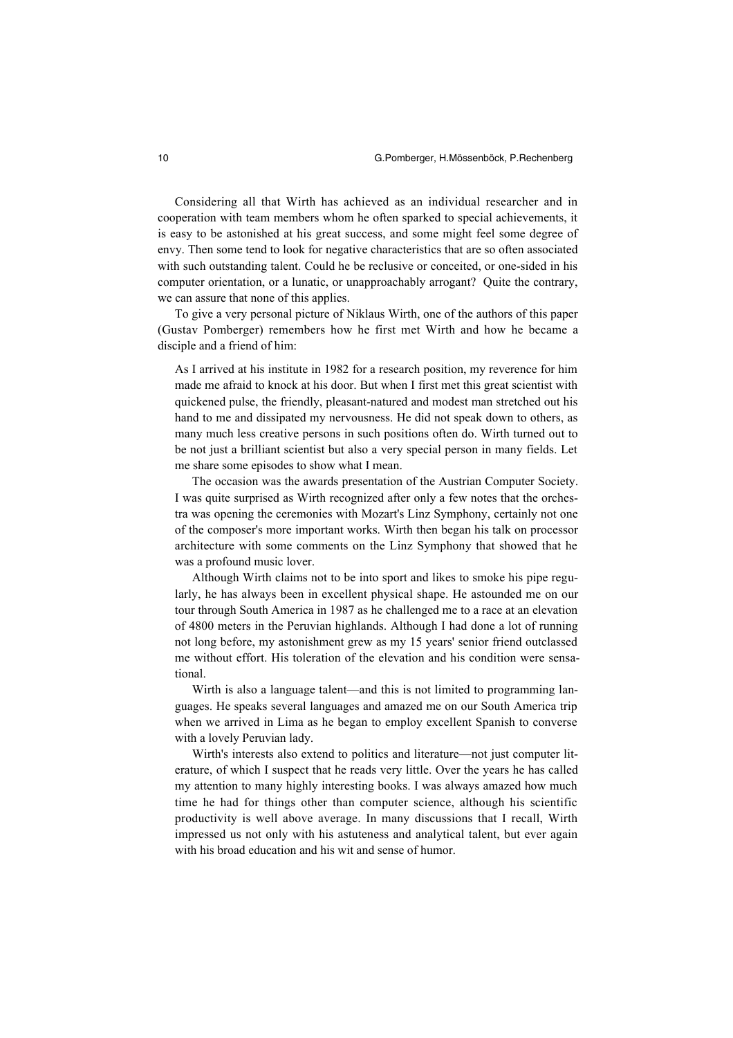Considering all that Wirth has achieved as an individual researcher and in cooperation with team members whom he often sparked to special achievements, it is easy to be astonished at his great success, and some might feel some degree of envy. Then some tend to look for negative characteristics that are so often associated with such outstanding talent. Could he be reclusive or conceited, or one-sided in his computer orientation, or a lunatic, or unapproachably arrogant? Quite the contrary, we can assure that none of this applies.

To give a very personal picture of Niklaus Wirth, one of the authors of this paper (Gustav Pomberger) remembers how he first met Wirth and how he became a disciple and a friend of him:

As I arrived at his institute in 1982 for a research position, my reverence for him made me afraid to knock at his door. But when I first met this great scientist with quickened pulse, the friendly, pleasant-natured and modest man stretched out his hand to me and dissipated my nervousness. He did not speak down to others, as many much less creative persons in such positions often do. Wirth turned out to be not just a brilliant scientist but also a very special person in many fields. Let me share some episodes to show what I mean.

The occasion was the awards presentation of the Austrian Computer Society. I was quite surprised as Wirth recognized after only a few notes that the orchestra was opening the ceremonies with Mozart's Linz Symphony, certainly not one of the composer's more important works. Wirth then began his talk on processor architecture with some comments on the Linz Symphony that showed that he was a profound music lover.

Although Wirth claims not to be into sport and likes to smoke his pipe regularly, he has always been in excellent physical shape. He astounded me on our tour through South America in 1987 as he challenged me to a race at an elevation of 4800 meters in the Peruvian highlands. Although I had done a lot of running not long before, my astonishment grew as my 15 years' senior friend outclassed me without effort. His toleration of the elevation and his condition were sensational.

Wirth is also a language talent—and this is not limited to programming languages. He speaks several languages and amazed me on our South America trip when we arrived in Lima as he began to employ excellent Spanish to converse with a lovely Peruvian lady.

Wirth's interests also extend to politics and literature—not just computer literature, of which I suspect that he reads very little. Over the years he has called my attention to many highly interesting books. I was always amazed how much time he had for things other than computer science, although his scientific productivity is well above average. In many discussions that I recall, Wirth impressed us not only with his astuteness and analytical talent, but ever again with his broad education and his wit and sense of humor.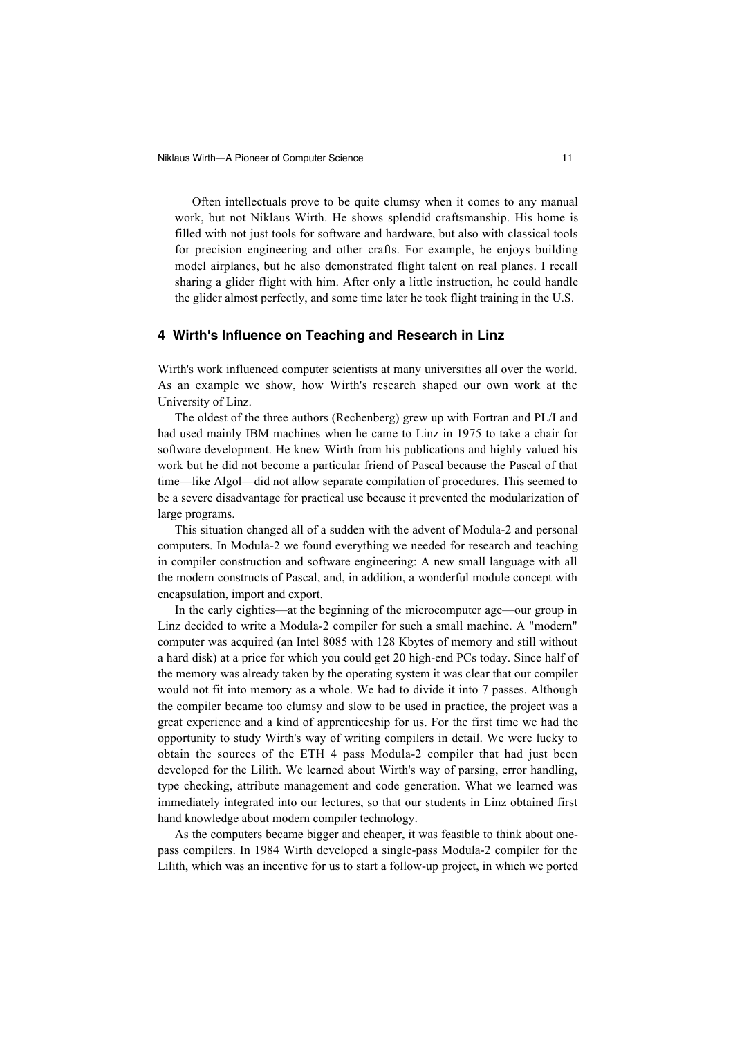Often intellectuals prove to be quite clumsy when it comes to any manual work, but not Niklaus Wirth. He shows splendid craftsmanship. His home is filled with not just tools for software and hardware, but also with classical tools for precision engineering and other crafts. For example, he enjoys building model airplanes, but he also demonstrated flight talent on real planes. I recall sharing a glider flight with him. After only a little instruction, he could handle the glider almost perfectly, and some time later he took flight training in the U.S.

### **4 Wirth's Influence on Teaching and Research in Linz**

Wirth's work influenced computer scientists at many universities all over the world. As an example we show, how Wirth's research shaped our own work at the University of Linz.

The oldest of the three authors (Rechenberg) grew up with Fortran and PL/I and had used mainly IBM machines when he came to Linz in 1975 to take a chair for software development. He knew Wirth from his publications and highly valued his work but he did not become a particular friend of Pascal because the Pascal of that time—like Algol—did not allow separate compilation of procedures. This seemed to be a severe disadvantage for practical use because it prevented the modularization of large programs.

This situation changed all of a sudden with the advent of Modula-2 and personal computers. In Modula-2 we found everything we needed for research and teaching in compiler construction and software engineering: A new small language with all the modern constructs of Pascal, and, in addition, a wonderful module concept with encapsulation, import and export.

In the early eighties—at the beginning of the microcomputer age—our group in Linz decided to write a Modula-2 compiler for such a small machine. A "modern" computer was acquired (an Intel 8085 with 128 Kbytes of memory and still without a hard disk) at a price for which you could get 20 high-end PCs today. Since half of the memory was already taken by the operating system it was clear that our compiler would not fit into memory as a whole. We had to divide it into 7 passes. Although the compiler became too clumsy and slow to be used in practice, the project was a great experience and a kind of apprenticeship for us. For the first time we had the opportunity to study Wirth's way of writing compilers in detail. We were lucky to obtain the sources of the ETH 4 pass Modula-2 compiler that had just been developed for the Lilith. We learned about Wirth's way of parsing, error handling, type checking, attribute management and code generation. What we learned was immediately integrated into our lectures, so that our students in Linz obtained first hand knowledge about modern compiler technology.

As the computers became bigger and cheaper, it was feasible to think about onepass compilers. In 1984 Wirth developed a single-pass Modula-2 compiler for the Lilith, which was an incentive for us to start a follow-up project, in which we ported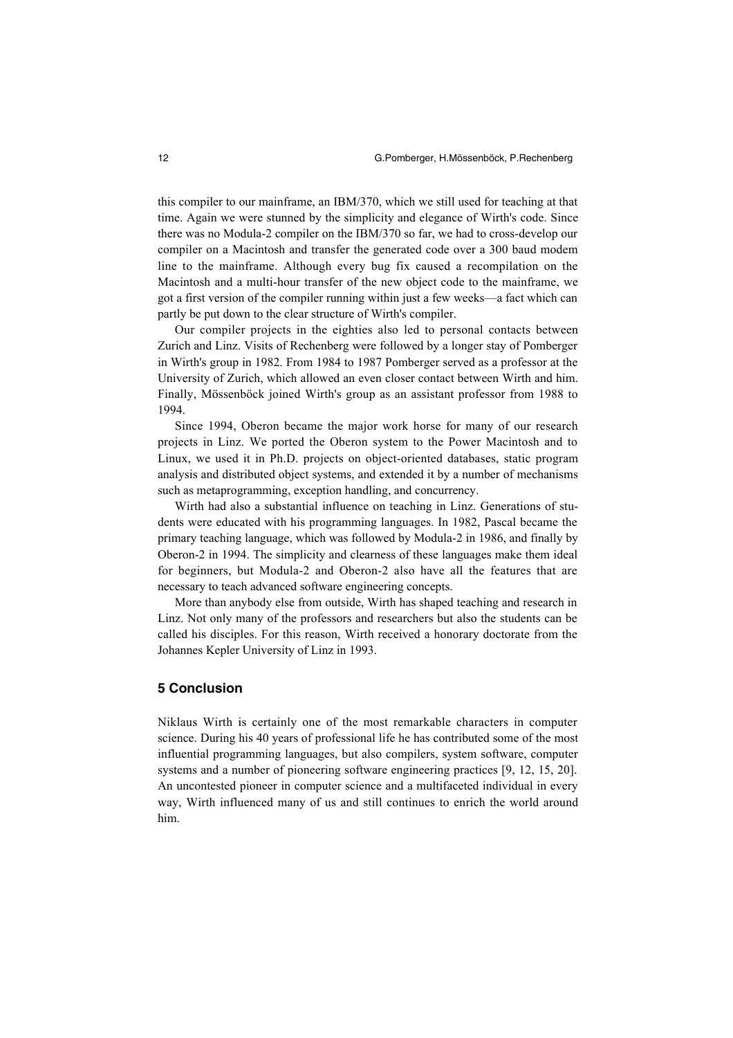this compiler to our mainframe, an IBM/370, which we still used for teaching at that time. Again we were stunned by the simplicity and elegance of Wirth's code. Since there was no Modula-2 compiler on the IBM/370 so far, we had to cross-develop our compiler on a Macintosh and transfer the generated code over a 300 baud modem line to the mainframe. Although every bug fix caused a recompilation on the Macintosh and a multi-hour transfer of the new object code to the mainframe, we got a first version of the compiler running within just a few weeks—a fact which can partly be put down to the clear structure of Wirth's compiler.

Our compiler projects in the eighties also led to personal contacts between Zurich and Linz. Visits of Rechenberg were followed by a longer stay of Pomberger in Wirth's group in 1982. From 1984 to 1987 Pomberger served as a professor at the University of Zurich, which allowed an even closer contact between Wirth and him. Finally, Mössenböck joined Wirth's group as an assistant professor from 1988 to 1994.

Since 1994, Oberon became the major work horse for many of our research projects in Linz. We ported the Oberon system to the Power Macintosh and to Linux, we used it in Ph.D. projects on object-oriented databases, static program analysis and distributed object systems, and extended it by a number of mechanisms such as metaprogramming, exception handling, and concurrency.

Wirth had also a substantial influence on teaching in Linz. Generations of students were educated with his programming languages. In 1982, Pascal became the primary teaching language, which was followed by Modula-2 in 1986, and finally by Oberon-2 in 1994. The simplicity and clearness of these languages make them ideal for beginners, but Modula-2 and Oberon-2 also have all the features that are necessary to teach advanced software engineering concepts.

More than anybody else from outside, Wirth has shaped teaching and research in Linz. Not only many of the professors and researchers but also the students can be called his disciples. For this reason, Wirth received a honorary doctorate from the Johannes Kepler University of Linz in 1993.

### **5 Conclusion**

Niklaus Wirth is certainly one of the most remarkable characters in computer science. During his 40 years of professional life he has contributed some of the most influential programming languages, but also compilers, system software, computer systems and a number of pioneering software engineering practices [9, 12, 15, 20]. An uncontested pioneer in computer science and a multifaceted individual in every way, Wirth influenced many of us and still continues to enrich the world around him.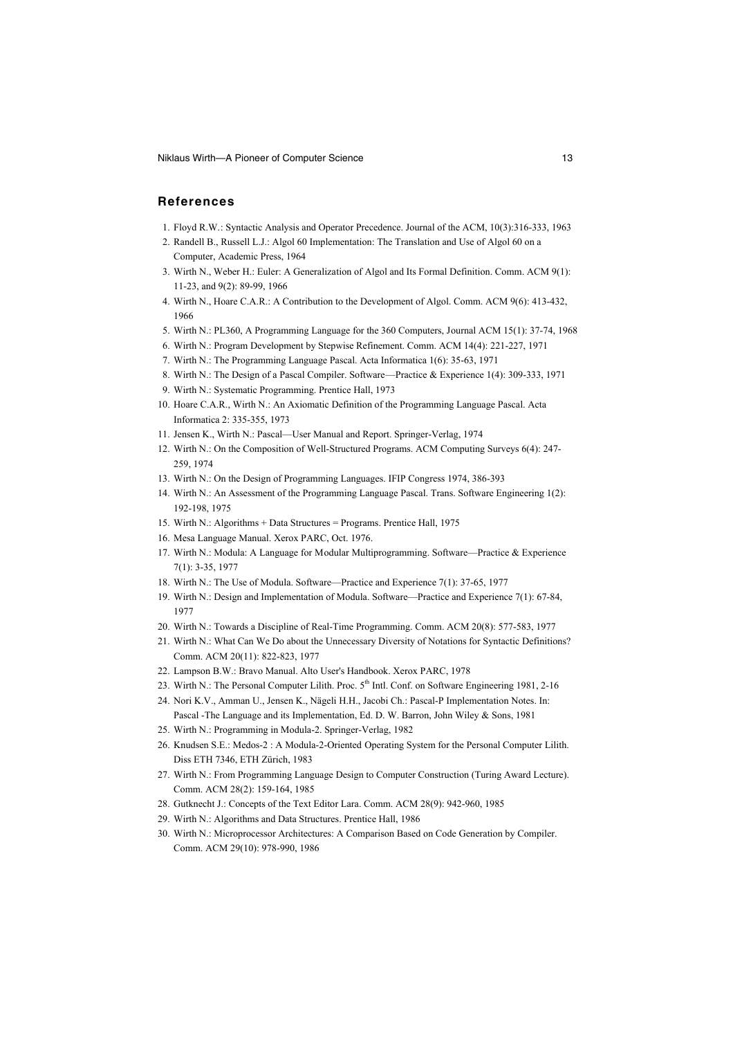Niklaus Wirth—A Pioneer of Computer Science 13 and 13

### **References**

- 1. Floyd R.W.: Syntactic Analysis and Operator Precedence. Journal of the ACM, 10(3):316-333, 1963
- 2. Randell B., Russell L.J.: Algol 60 Implementation: The Translation and Use of Algol 60 on a Computer, Academic Press, 1964
- 3. Wirth N., Weber H.: Euler: A Generalization of Algol and Its Formal Definition. Comm. ACM 9(1): 11-23, and 9(2): 89-99, 1966
- 4. Wirth N., Hoare C.A.R.: A Contribution to the Development of Algol. Comm. ACM 9(6): 413-432, 1966
- 5. Wirth N.: PL360, A Programming Language for the 360 Computers, Journal ACM 15(1): 37-74, 1968
- 6. Wirth N.: Program Development by Stepwise Refinement. Comm. ACM 14(4): 221-227, 1971
- 7. Wirth N.: The Programming Language Pascal. Acta Informatica 1(6): 35-63, 1971
- 8. Wirth N.: The Design of a Pascal Compiler. Software—Practice & Experience 1(4): 309-333, 1971
- 9. Wirth N.: Systematic Programming. Prentice Hall, 1973
- 10. Hoare C.A.R., Wirth N.: An Axiomatic Definition of the Programming Language Pascal. Acta Informatica 2: 335-355, 1973
- 11. Jensen K., Wirth N.: Pascal—User Manual and Report. Springer-Verlag, 1974
- 12. Wirth N.: On the Composition of Well-Structured Programs. ACM Computing Surveys 6(4): 247- 259, 1974
- 13. Wirth N.: On the Design of Programming Languages. IFIP Congress 1974, 386-393
- 14. Wirth N.: An Assessment of the Programming Language Pascal. Trans. Software Engineering 1(2): 192-198, 1975
- 15. Wirth N.: Algorithms + Data Structures = Programs. Prentice Hall, 1975
- 16. Mesa Language Manual. Xerox PARC, Oct. 1976.
- 17. Wirth N.: Modula: A Language for Modular Multiprogramming. Software—Practice & Experience 7(1): 3-35, 1977
- 18. Wirth N.: The Use of Modula. Software—Practice and Experience 7(1): 37-65, 1977
- 19. Wirth N.: Design and Implementation of Modula. Software—Practice and Experience 7(1): 67-84, 1977
- 20. Wirth N.: Towards a Discipline of Real-Time Programming. Comm. ACM 20(8): 577-583, 1977
- 21. Wirth N.: What Can We Do about the Unnecessary Diversity of Notations for Syntactic Definitions? Comm. ACM 20(11): 822-823, 1977
- 22. Lampson B.W.: Bravo Manual. Alto User's Handbook. Xerox PARC, 1978
- 23. Wirth N.: The Personal Computer Lilith. Proc. 5<sup>th</sup> Intl. Conf. on Software Engineering 1981, 2-16
- 24. Nori K.V., Amman U., Jensen K., Nägeli H.H., Jacobi Ch.: Pascal-P Implementation Notes. In: Pascal -The Language and its Implementation, Ed. D. W. Barron, John Wiley & Sons, 1981
- 25. Wirth N.: Programming in Modula-2. Springer-Verlag, 1982
- 26. Knudsen S.E.: Medos-2 : A Modula-2-Oriented Operating System for the Personal Computer Lilith. Diss ETH 7346, ETH Zürich, 1983
- 27. Wirth N.: From Programming Language Design to Computer Construction (Turing Award Lecture). Comm. ACM 28(2): 159-164, 1985
- 28. Gutknecht J.: Concepts of the Text Editor Lara. Comm. ACM 28(9): 942-960, 1985
- 29. Wirth N.: Algorithms and Data Structures. Prentice Hall, 1986
- 30. Wirth N.: Microprocessor Architectures: A Comparison Based on Code Generation by Compiler. Comm. ACM 29(10): 978-990, 1986